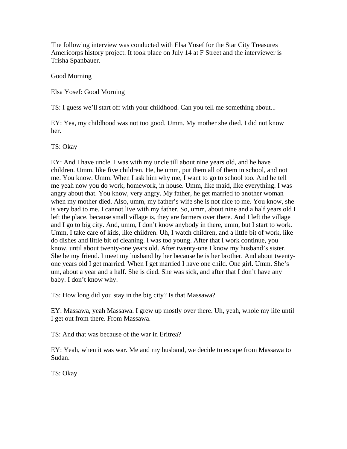The following interview was conducted with Elsa Yosef for the Star City Treasures Americorps history project. It took place on July 14 at F Street and the interviewer is Trisha Spanbauer.

Good Morning

Elsa Yosef: Good Morning

TS: I guess we'll start off with your childhood. Can you tell me something about...

EY: Yea, my childhood was not too good. Umm. My mother she died. I did not know her.

TS: Okay

EY: And I have uncle. I was with my uncle till about nine years old, and he have children. Umm, like five children. He, he umm, put them all of them in school, and not me. You know. Umm. When I ask him why me, I want to go to school too. And he tell me yeah now you do work, homework, in house. Umm, like maid, like everything. I was angry about that. You know, very angry. My father, he get married to another woman when my mother died. Also, umm, my father's wife she is not nice to me. You know, she is very bad to me. I cannot live with my father. So, umm, about nine and a half years old I left the place, because small village is, they are farmers over there. And I left the village and I go to big city. And, umm, I don't know anybody in there, umm, but I start to work. Umm, I take care of kids, like children. Uh, I watch children, and a little bit of work, like do dishes and little bit of cleaning. I was too young. After that I work continue, you know, until about twenty-one years old. After twenty-one I know my husband's sister. She be my friend. I meet my husband by her because he is her brother. And about twentyone years old I get married. When I get married I have one child. One girl. Umm. She's um, about a year and a half. She is died. She was sick, and after that I don't have any baby. I don't know why.

TS: How long did you stay in the big city? Is that Massawa?

EY: Massawa, yeah Massawa. I grew up mostly over there. Uh, yeah, whole my life until I get out from there. From Massawa.

TS: And that was because of the war in Eritrea?

EY: Yeah, when it was war. Me and my husband, we decide to escape from Massawa to Sudan.

TS: Okay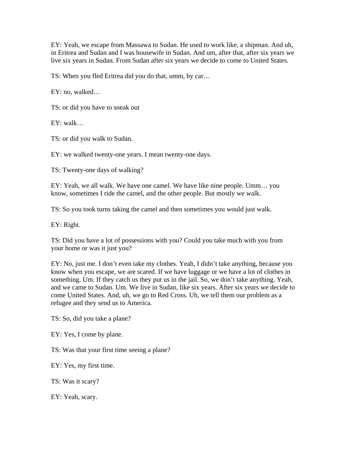EY: Yeah, we escape from Massawa to Sudan. He used to work like, a shipman. And uh, in Eritrea and Sudan and I was housewife in Sudan. And um, after that, after six years we live six years in Sudan. From Sudan after six years we decide to come to United States.

TS: When you fled Eritrea did you do that, umm, by car…

EY: no, walked…

TS: or did you have to sneak out

 $EY: walk...$ 

TS: or did you walk to Sudan.

EY: we walked twenty-one years. I mean twenty-one days.

TS: Twenty-one days of walking?

EY: Yeah, we all walk. We have one camel. We have like nine people. Umm… you know, sometimes I ride the camel, and the other people. But mostly we walk.

TS: So you took turns taking the camel and then sometimes you would just walk.

EY: Right.

TS: Did you have a lot of possessions with you? Could you take much with you from your home or was it just you?

EY: No, just me. I don't even take my clothes. Yeah, I didn't take anything, because you know when you escape, we are scared. If we have luggage or we have a lot of clothes in something. Um. If they catch us they put us in the jail. So, we don't take anything. Yeah, and we came to Sudan. Um. We live in Sudan, like six years. After six years we decide to come United States. And, uh, we go to Red Cross. Uh, we tell them our problem as a refugee and they send us to America.

TS: So, did you take a plane?

EY: Yes, I come by plane.

TS: Was that your first time seeing a plane?

EY: Yes, my first time.

TS: Was it scary?

EY: Yeah, scary.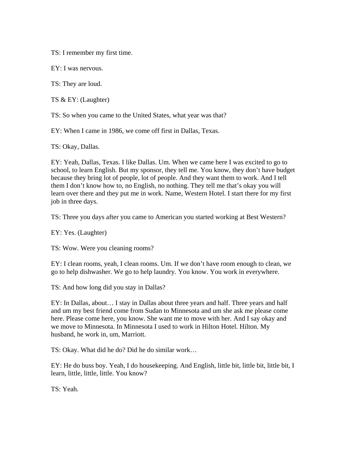TS: I remember my first time.

EY: I was nervous.

TS: They are loud.

TS & EY: (Laughter)

TS: So when you came to the United States, what year was that?

EY: When I came in 1986, we come off first in Dallas, Texas.

TS: Okay, Dallas.

EY: Yeah, Dallas, Texas. I like Dallas. Um. When we came here I was excited to go to school, to learn English. But my sponsor, they tell me. You know, they don't have budget because they bring lot of people, lot of people. And they want them to work. And I tell them I don't know how to, no English, no nothing. They tell me that's okay you will learn over there and they put me in work. Name, Western Hotel. I start there for my first job in three days.

TS: Three you days after you came to American you started working at Best Western?

EY: Yes. (Laughter)

TS: Wow. Were you cleaning rooms?

EY: I clean rooms, yeah, I clean rooms. Um. If we don't have room enough to clean, we go to help dishwasher. We go to help laundry. You know. You work in everywhere.

TS: And how long did you stay in Dallas?

EY: In Dallas, about… I stay in Dallas about three years and half. Three years and half and um my best friend come from Sudan to Minnesota and um she ask me please come here. Please come here, you know. She want me to move with her. And I say okay and we move to Minnesota. In Minnesota I used to work in Hilton Hotel. Hilton. My husband, he work in, um, Marriott.

TS: Okay. What did he do? Did he do similar work…

EY: He do buss boy. Yeah, I do housekeeping. And English, little bit, little bit, little bit, I learn, little, little, little. You know?

TS: Yeah.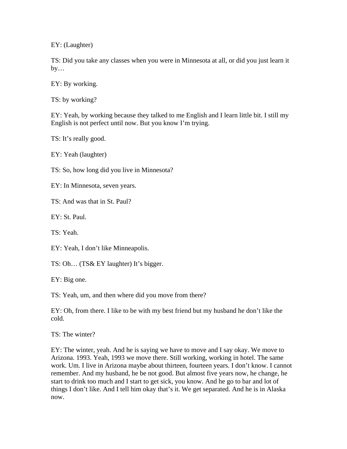EY: (Laughter)

TS: Did you take any classes when you were in Minnesota at all, or did you just learn it  $by...$ 

EY: By working.

TS: by working?

EY: Yeah, by working because they talked to me English and I learn little bit. I still my English is not perfect until now. But you know I'm trying.

TS: It's really good.

EY: Yeah (laughter)

TS: So, how long did you live in Minnesota?

EY: In Minnesota, seven years.

TS: And was that in St. Paul?

EY: St. Paul.

TS: Yeah.

EY: Yeah, I don't like Minneapolis.

TS: Oh… (TS& EY laughter) It's bigger.

EY: Big one.

TS: Yeah, um, and then where did you move from there?

EY: Oh, from there. I like to be with my best friend but my husband he don't like the cold.

TS: The winter?

EY: The winter, yeah. And he is saying we have to move and I say okay. We move to Arizona. 1993. Yeah, 1993 we move there. Still working, working in hotel. The same work. Um. I live in Arizona maybe about thirteen, fourteen years. I don't know. I cannot remember. And my husband, he be not good. But almost five years now, he change, he start to drink too much and I start to get sick, you know. And he go to bar and lot of things I don't like. And I tell him okay that's it. We get separated. And he is in Alaska now.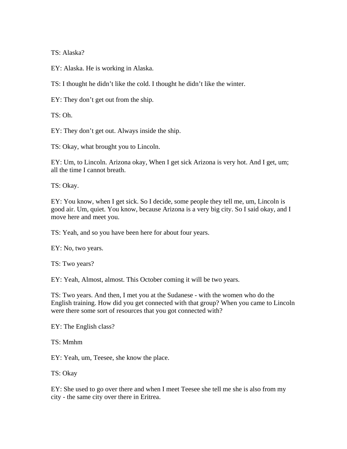TS: Alaska?

EY: Alaska. He is working in Alaska.

TS: I thought he didn't like the cold. I thought he didn't like the winter.

EY: They don't get out from the ship.

TS: Oh.

EY: They don't get out. Always inside the ship.

TS: Okay, what brought you to Lincoln.

EY: Um, to Lincoln. Arizona okay, When I get sick Arizona is very hot. And I get, um; all the time I cannot breath.

TS: Okay.

EY: You know, when I get sick. So I decide, some people they tell me, um, Lincoln is good air. Um, quiet. You know, because Arizona is a very big city. So I said okay, and I move here and meet you.

TS: Yeah, and so you have been here for about four years.

EY: No, two years.

TS: Two years?

EY: Yeah, Almost, almost. This October coming it will be two years.

TS: Two years. And then, I met you at the Sudanese - with the women who do the English training. How did you get connected with that group? When you came to Lincoln were there some sort of resources that you got connected with?

EY: The English class?

TS: Mmhm

EY: Yeah, um, Teesee, she know the place.

TS: Okay

EY: She used to go over there and when I meet Teesee she tell me she is also from my city - the same city over there in Eritrea.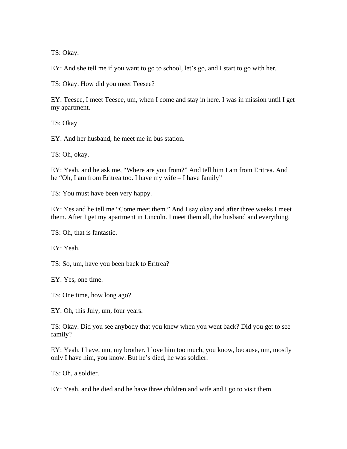TS: Okay.

EY: And she tell me if you want to go to school, let's go, and I start to go with her.

TS: Okay. How did you meet Teesee?

EY: Teesee, I meet Teesee, um, when I come and stay in here. I was in mission until I get my apartment.

TS: Okay

EY: And her husband, he meet me in bus station.

TS: Oh, okay.

EY: Yeah, and he ask me, "Where are you from?" And tell him I am from Eritrea. And he "Oh, I am from Eritrea too. I have my wife – I have family"

TS: You must have been very happy.

EY: Yes and he tell me "Come meet them." And I say okay and after three weeks I meet them. After I get my apartment in Lincoln. I meet them all, the husband and everything.

TS: Oh, that is fantastic.

EY: Yeah.

TS: So, um, have you been back to Eritrea?

EY: Yes, one time.

TS: One time, how long ago?

EY: Oh, this July, um, four years.

TS: Okay. Did you see anybody that you knew when you went back? Did you get to see family?

EY: Yeah. I have, um, my brother. I love him too much, you know, because, um, mostly only I have him, you know. But he's died, he was soldier.

TS: Oh, a soldier.

EY: Yeah, and he died and he have three children and wife and I go to visit them.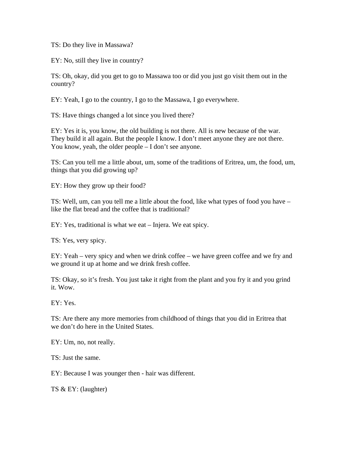TS: Do they live in Massawa?

EY: No, still they live in country?

TS: Oh, okay, did you get to go to Massawa too or did you just go visit them out in the country?

EY: Yeah, I go to the country, I go to the Massawa, I go everywhere.

TS: Have things changed a lot since you lived there?

EY: Yes it is, you know, the old building is not there. All is new because of the war. They build it all again. But the people I know. I don't meet anyone they are not there. You know, yeah, the older people – I don't see anyone.

TS: Can you tell me a little about, um, some of the traditions of Eritrea, um, the food, um, things that you did growing up?

EY: How they grow up their food?

TS: Well, um, can you tell me a little about the food, like what types of food you have – like the flat bread and the coffee that is traditional?

EY: Yes, traditional is what we eat – Injera. We eat spicy.

TS: Yes, very spicy.

EY: Yeah – very spicy and when we drink coffee – we have green coffee and we fry and we ground it up at home and we drink fresh coffee.

TS: Okay, so it's fresh. You just take it right from the plant and you fry it and you grind it. Wow.

EY: Yes.

TS: Are there any more memories from childhood of things that you did in Eritrea that we don't do here in the United States.

EY: Um, no, not really.

TS: Just the same.

EY: Because I was younger then - hair was different.

TS & EY: (laughter)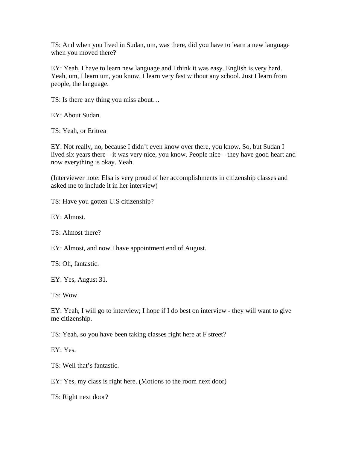TS: And when you lived in Sudan, um, was there, did you have to learn a new language when you moved there?

EY: Yeah, I have to learn new language and I think it was easy. English is very hard. Yeah, um, I learn um, you know, I learn very fast without any school. Just I learn from people, the language.

TS: Is there any thing you miss about…

EY: About Sudan.

TS: Yeah, or Eritrea

EY: Not really, no, because I didn't even know over there, you know. So, but Sudan I lived six years there – it was very nice, you know. People nice – they have good heart and now everything is okay. Yeah.

(Interviewer note: Elsa is very proud of her accomplishments in citizenship classes and asked me to include it in her interview)

TS: Have you gotten U.S citizenship?

EY: Almost.

TS: Almost there?

EY: Almost, and now I have appointment end of August.

TS: Oh, fantastic.

EY: Yes, August 31.

TS: Wow.

EY: Yeah, I will go to interview; I hope if I do best on interview - they will want to give me citizenship.

TS: Yeah, so you have been taking classes right here at F street?

EY: Yes.

TS: Well that's fantastic.

EY: Yes, my class is right here. (Motions to the room next door)

TS: Right next door?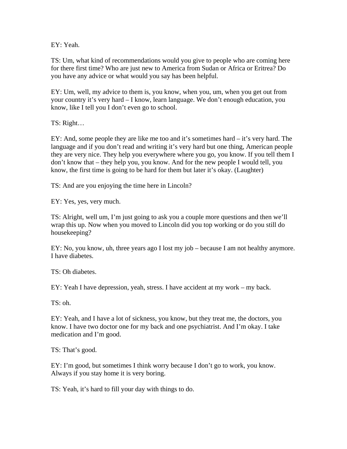EY: Yeah.

TS: Um, what kind of recommendations would you give to people who are coming here for there first time? Who are just new to America from Sudan or Africa or Eritrea? Do you have any advice or what would you say has been helpful.

EY: Um, well, my advice to them is, you know, when you, um, when you get out from your country it's very hard – I know, learn language. We don't enough education, you know, like I tell you I don't even go to school.

TS: Right…

EY: And, some people they are like me too and it's sometimes hard – it's very hard. The language and if you don't read and writing it's very hard but one thing, American people they are very nice. They help you everywhere where you go, you know. If you tell them I don't know that – they help you, you know. And for the new people I would tell, you know, the first time is going to be hard for them but later it's okay. (Laughter)

TS: And are you enjoying the time here in Lincoln?

EY: Yes, yes, very much.

TS: Alright, well um, I'm just going to ask you a couple more questions and then we'll wrap this up. Now when you moved to Lincoln did you top working or do you still do housekeeping?

EY: No, you know, uh, three years ago I lost my job – because I am not healthy anymore. I have diabetes.

TS: Oh diabetes.

EY: Yeah I have depression, yeah, stress. I have accident at my work – my back.

TS: oh.

EY: Yeah, and I have a lot of sickness, you know, but they treat me, the doctors, you know. I have two doctor one for my back and one psychiatrist. And I'm okay. I take medication and I'm good.

TS: That's good.

EY: I'm good, but sometimes I think worry because I don't go to work, you know. Always if you stay home it is very boring.

TS: Yeah, it's hard to fill your day with things to do.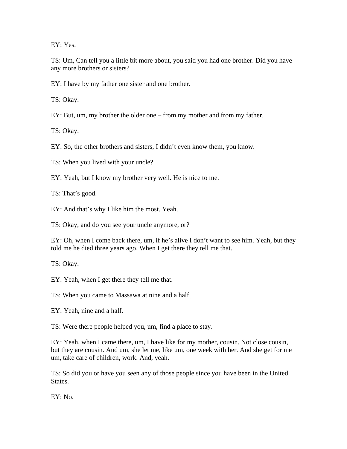EY: Yes.

TS: Um, Can tell you a little bit more about, you said you had one brother. Did you have any more brothers or sisters?

EY: I have by my father one sister and one brother.

TS: Okay.

EY: But, um, my brother the older one – from my mother and from my father.

TS: Okay.

EY: So, the other brothers and sisters, I didn't even know them, you know.

TS: When you lived with your uncle?

EY: Yeah, but I know my brother very well. He is nice to me.

TS: That's good.

EY: And that's why I like him the most. Yeah.

TS: Okay, and do you see your uncle anymore, or?

EY: Oh, when I come back there, um, if he's alive I don't want to see him. Yeah, but they told me he died three years ago. When I get there they tell me that.

TS: Okay.

EY: Yeah, when I get there they tell me that.

TS: When you came to Massawa at nine and a half.

EY: Yeah, nine and a half.

TS: Were there people helped you, um, find a place to stay.

EY: Yeah, when I came there, um, I have like for my mother, cousin. Not close cousin, but they are cousin. And um, she let me, like um, one week with her. And she get for me um, take care of children, work. And, yeah.

TS: So did you or have you seen any of those people since you have been in the United States.

EY: No.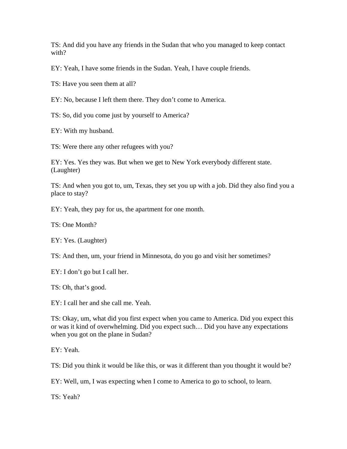TS: And did you have any friends in the Sudan that who you managed to keep contact with?

EY: Yeah, I have some friends in the Sudan. Yeah, I have couple friends.

TS: Have you seen them at all?

EY: No, because I left them there. They don't come to America.

TS: So, did you come just by yourself to America?

EY: With my husband.

TS: Were there any other refugees with you?

EY: Yes. Yes they was. But when we get to New York everybody different state. (Laughter)

TS: And when you got to, um, Texas, they set you up with a job. Did they also find you a place to stay?

EY: Yeah, they pay for us, the apartment for one month.

TS: One Month?

EY: Yes. (Laughter)

TS: And then, um, your friend in Minnesota, do you go and visit her sometimes?

EY: I don't go but I call her.

TS: Oh, that's good.

EY: I call her and she call me. Yeah.

TS: Okay, um, what did you first expect when you came to America. Did you expect this or was it kind of overwhelming. Did you expect such… Did you have any expectations when you got on the plane in Sudan?

EY: Yeah.

TS: Did you think it would be like this, or was it different than you thought it would be?

EY: Well, um, I was expecting when I come to America to go to school, to learn.

TS: Yeah?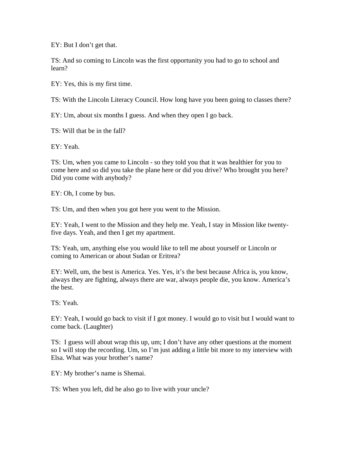EY: But I don't get that.

TS: And so coming to Lincoln was the first opportunity you had to go to school and learn?

EY: Yes, this is my first time.

TS: With the Lincoln Literacy Council. How long have you been going to classes there?

EY: Um, about six months I guess. And when they open I go back.

TS: Will that be in the fall?

EY: Yeah.

TS: Um, when you came to Lincoln - so they told you that it was healthier for you to come here and so did you take the plane here or did you drive? Who brought you here? Did you come with anybody?

EY: Oh, I come by bus.

TS: Um, and then when you got here you went to the Mission.

EY: Yeah, I went to the Mission and they help me. Yeah, I stay in Mission like twentyfive days. Yeah, and then I get my apartment.

TS: Yeah, um, anything else you would like to tell me about yourself or Lincoln or coming to American or about Sudan or Eritrea?

EY: Well, um, the best is America. Yes. Yes, it's the best because Africa is, you know, always they are fighting, always there are war, always people die, you know. America's the best.

TS: Yeah.

EY: Yeah, I would go back to visit if I got money. I would go to visit but I would want to come back. (Laughter)

TS: I guess will about wrap this up, um; I don't have any other questions at the moment so I will stop the recording. Um, so I'm just adding a little bit more to my interview with Elsa. What was your brother's name?

EY: My brother's name is Shemai.

TS: When you left, did he also go to live with your uncle?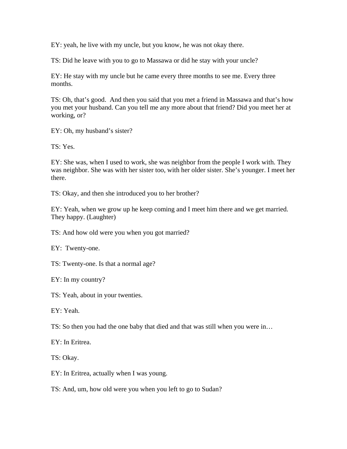EY: yeah, he live with my uncle, but you know, he was not okay there.

TS: Did he leave with you to go to Massawa or did he stay with your uncle?

EY: He stay with my uncle but he came every three months to see me. Every three months.

TS: Oh, that's good. And then you said that you met a friend in Massawa and that's how you met your husband. Can you tell me any more about that friend? Did you meet her at working, or?

EY: Oh, my husband's sister?

TS: Yes.

EY: She was, when I used to work, she was neighbor from the people I work with. They was neighbor. She was with her sister too, with her older sister. She's younger. I meet her there.

TS: Okay, and then she introduced you to her brother?

EY: Yeah, when we grow up he keep coming and I meet him there and we get married. They happy. (Laughter)

TS: And how old were you when you got married?

EY: Twenty-one.

TS: Twenty-one. Is that a normal age?

EY: In my country?

TS: Yeah, about in your twenties.

EY: Yeah.

TS: So then you had the one baby that died and that was still when you were in…

EY: In Eritrea.

TS: Okay.

EY: In Eritrea, actually when I was young.

TS: And, um, how old were you when you left to go to Sudan?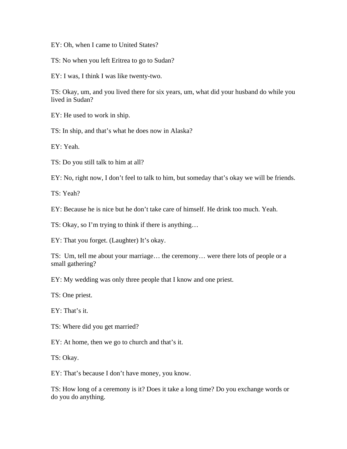EY: Oh, when I came to United States?

TS: No when you left Eritrea to go to Sudan?

EY: I was, I think I was like twenty-two.

TS: Okay, um, and you lived there for six years, um, what did your husband do while you lived in Sudan?

EY: He used to work in ship.

TS: In ship, and that's what he does now in Alaska?

EY: Yeah.

TS: Do you still talk to him at all?

EY: No, right now, I don't feel to talk to him, but someday that's okay we will be friends.

TS: Yeah?

EY: Because he is nice but he don't take care of himself. He drink too much. Yeah.

TS: Okay, so I'm trying to think if there is anything…

EY: That you forget. (Laughter) It's okay.

TS: Um, tell me about your marriage… the ceremony… were there lots of people or a small gathering?

EY: My wedding was only three people that I know and one priest.

TS: One priest.

EY: That's it.

TS: Where did you get married?

EY: At home, then we go to church and that's it.

TS: Okay.

EY: That's because I don't have money, you know.

TS: How long of a ceremony is it? Does it take a long time? Do you exchange words or do you do anything.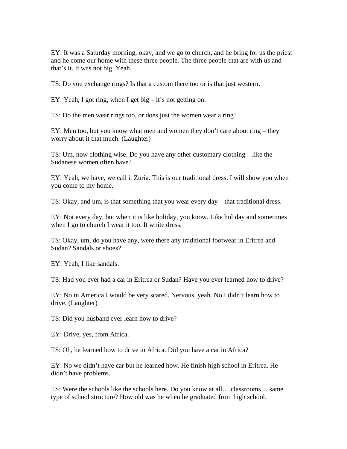EY: It was a Saturday morning, okay, and we go to church, and he bring for us the priest and he come our home with these three people. The three people that are with us and that's it. It was not big. Yeah.

TS: Do you exchange rings? Is that a custom there too or is that just western.

EY: Yeah, I got ring, when I get big – it's not getting on.

TS: Do the men wear rings too, or does just the women wear a ring?

EY: Men too, but you know what men and women they don't care about ring – they worry about it that much. (Laughter)

TS: Um, now clothing wise. Do you have any other customary clothing – like the Sudanese women often have?

EY: Yeah, we have, we call it Zuria. This is our traditional dress. I will show you when you come to my home.

TS: Okay, and um, is that something that you wear every day – that traditional dress.

EY: Not every day, but when it is like holiday, you know. Like holiday and sometimes when I go to church I wear it too. It white dress.

TS: Okay, um, do you have any, were there any traditional footwear in Eritrea and Sudan? Sandals or shoes?

EY: Yeah, I like sandals.

TS: Had you ever had a car in Eritrea or Sudan? Have you ever learned how to drive?

EY: No in America I would be very scared. Nervous, yeah. No I didn't learn how to drive. (Laughter)

TS: Did you husband ever learn how to drive?

EY: Drive, yes, from Africa.

TS: Oh, he learned how to drive in Africa. Did you have a car in Africa?

EY: No we didn't have car but he learned how. He finish high school in Eritrea. He didn't have problems.

TS: Were the schools like the schools here. Do you know at all… classrooms… same type of school structure? How old was he when he graduated from high school.